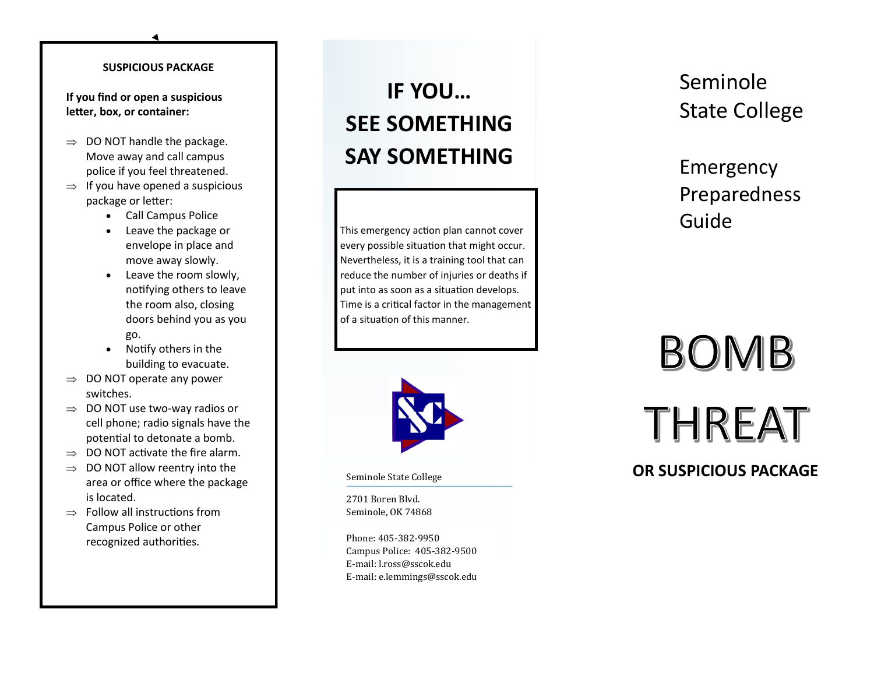#### **SUSPICIOUS PACKAGE**

**If you find or open a suspicious letter, box, or container:**

- $\Rightarrow$  DO NOT handle the package. Move away and call campus police if you feel threatened.
- $\Rightarrow$  If you have opened a suspicious package or letter:
	- Call Campus Police
	- Leave the package or envelope in place and move away slowly.
	- Leave the room slowly, notifying others to leave the room also, closing doors behind you as you go.
	- Notify others in the building to evacuate.
- $\Rightarrow$  DO NOT operate any power switches.
- $\Rightarrow$  DO NOT use two-way radios or cell phone; radio signals have the potential to detonate a bomb.
- $\Rightarrow$  DO NOT activate the fire alarm.
- $\Rightarrow$  DO NOT allow reentry into the area or office where the package is located.
- $\Rightarrow$  Follow all instructions from Campus Police or other recognized authorities.

## **IF YOU … SEE SOMETHING SAY SOMETHING**

This emergency action plan cannot cover every possible situation that might occur. Nevertheless, it is a training tool that can reduce the number of injuries or deaths if put into as soon as a situation develops. Time is a critical factor in the management of a situation of this manner.



Seminole State College

2701 Boren Blvd. Seminole, OK 74868

Phone: 405 -382 -9950 Campus Police: 405 -382 -9500 E -mail: l.ross@sscok.edu E -mail: e.lemmings@sscok.edu Seminole State College

Emergency Preparedness Guide

# BOMB THREAT

### **OR SUSPICIOUS PACKAGE**